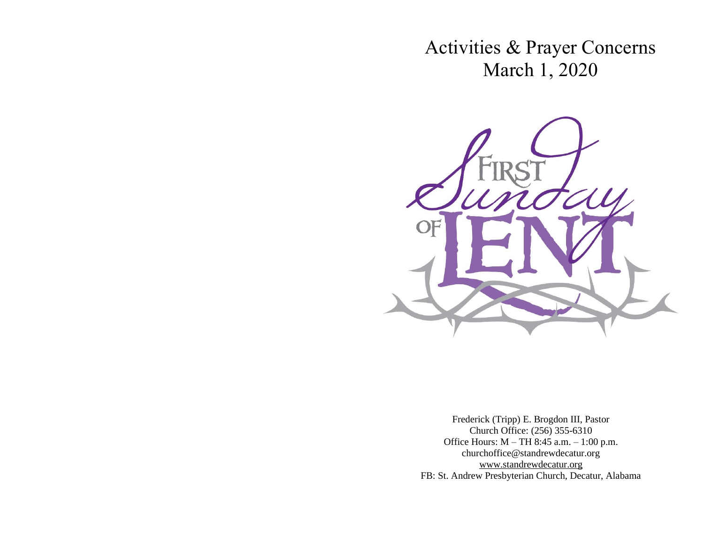Activities & Prayer Concerns March 1, 2020



Frederick (Tripp) E. Brogdon III, Pastor Church Office: (256) 355-6310 Office Hours: M – TH 8:45 a.m. – 1:00 p.m. churchoffice@standrewdecatur.org [www.standrewdecatur.](http://www.standrewdecatur/)org FB: St. Andrew Presbyterian Church, Decatur, Alabama